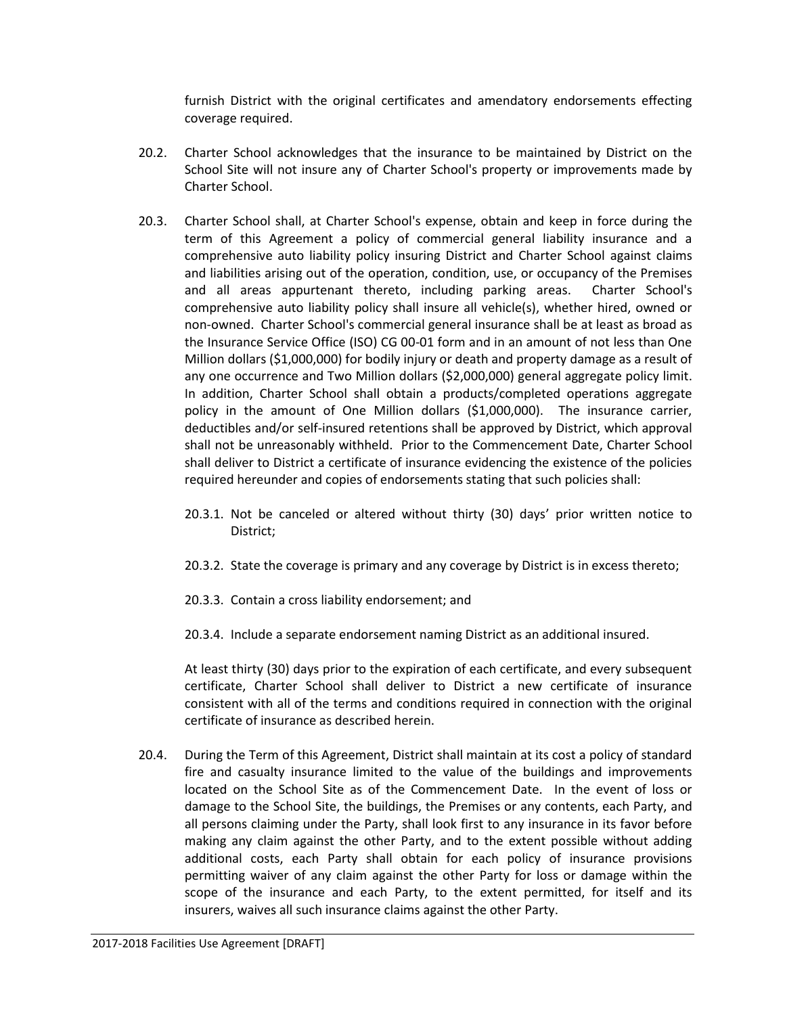furnish District with the original certificates and amendatory endorsements effecting coverage required.

- 20.2. Charter School acknowledges that the insurance to be maintained by District on the School Site will not insure any of Charter School's property or improvements made by Charter School.
- 20.3. Charter School shall, at Charter School's expense, obtain and keep in force during the term of this Agreement a policy of commercial general liability insurance and a comprehensive auto liability policy insuring District and Charter School against claims and liabilities arising out of the operation, condition, use, or occupancy of the Premises and all areas appurtenant thereto, including parking areas. Charter School's comprehensive auto liability policy shall insure all vehicle(s), whether hired, owned or non-owned. Charter School's commercial general insurance shall be at least as broad as the Insurance Service Office (ISO) CG 00-01 form and in an amount of not less than One Million dollars (\$1,000,000) for bodily injury or death and property damage as a result of any one occurrence and Two Million dollars (\$2,000,000) general aggregate policy limit. In addition, Charter School shall obtain a products/completed operations aggregate policy in the amount of One Million dollars (\$1,000,000). The insurance carrier, deductibles and/or self-insured retentions shall be approved by District, which approval shall not be unreasonably withheld. Prior to the Commencement Date, Charter School shall deliver to District a certificate of insurance evidencing the existence of the policies required hereunder and copies of endorsements stating that such policies shall:
	- 20.3.1. Not be canceled or altered without thirty (30) days' prior written notice to District;
	- 20.3.2. State the coverage is primary and any coverage by District is in excess thereto;
	- 20.3.3. Contain a cross liability endorsement; and
	- 20.3.4. Include a separate endorsement naming District as an additional insured.

At least thirty (30) days prior to the expiration of each certificate, and every subsequent certificate, Charter School shall deliver to District a new certificate of insurance consistent with all of the terms and conditions required in connection with the original certificate of insurance as described herein.

20.4. During the Term of this Agreement, District shall maintain at its cost a policy of standard fire and casualty insurance limited to the value of the buildings and improvements located on the School Site as of the Commencement Date. In the event of loss or damage to the School Site, the buildings, the Premises or any contents, each Party, and all persons claiming under the Party, shall look first to any insurance in its favor before making any claim against the other Party, and to the extent possible without adding additional costs, each Party shall obtain for each policy of insurance provisions permitting waiver of any claim against the other Party for loss or damage within the scope of the insurance and each Party, to the extent permitted, for itself and its insurers, waives all such insurance claims against the other Party.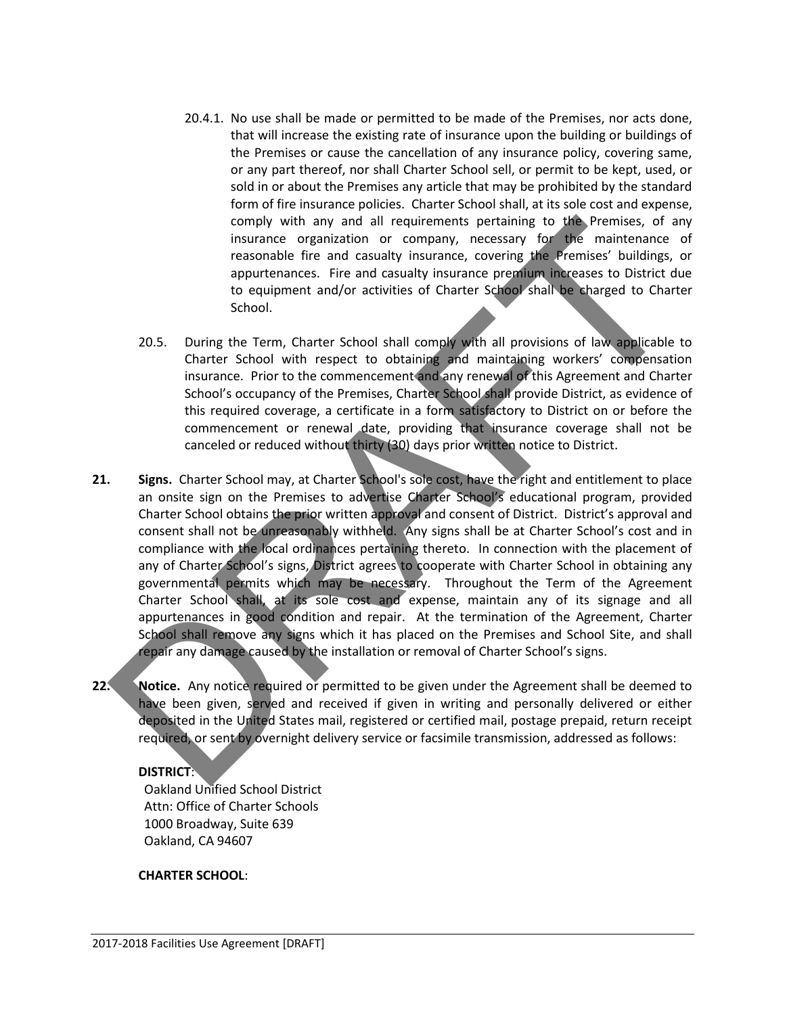- 20.4.1. No use shall be made or permitted to be made of the Premises, nor acts done, that will increase the existing rate of insurance upon the building or buildings of the Premises or cause the cancellation of any insurance policy, covering same, or any part thereof, nor shall Charter School sell, or permit to be kept, used, or sold in or about the Premises any article that may be prohibited by the standard form of fire insurance policies. Charter School shall, at its sole cost and expense, comply with any and all requirements pertaining to the Premises, of any insurance organization or company, necessary for the maintenance of reasonable fire and casualty insurance, covering the Premises' buildings, or appurtenances. Fire and casualty insurance premium increases to District due to equipment and/or activities of Charter School shall be charged to Charter School.
- 20.5. During the Term, Charter School shall comply with all provisions of law applicable to Charter School with respect to obtaining and maintaining workers' compensation insurance. Prior to the commencement and any renewal of this Agreement and Charter School's occupancy of the Premises, Charter School shall provide District, as evidence of this required coverage, a certificate in a form satisfactory to District on or before the commencement or renewal date, providing that insurance coverage shall not be canceled or reduced without thirty (30) days prior written notice to District.
- comply with any and all requirements pertaining to the Premises, of any measure organization or company, necessary for the maintenance of resonance to appurenances. Fire and casually insurance presulture increases to Distr **21. Signs.** Charter School may, at Charter School's sole cost, have the right and entitlement to place an onsite sign on the Premises to advertise Charter School's educational program, provided Charter School obtains the prior written approval and consent of District. District's approval and consent shall not be unreasonably withheld. Any signs shall be at Charter School's cost and in compliance with the local ordinances pertaining thereto. In connection with the placement of any of Charter School's signs, District agrees to cooperate with Charter School in obtaining any governmental permits which may be necessary. Throughout the Term of the Agreement Charter School shall, at its sole cost and expense, maintain any of its signage and all appurtenances in good condition and repair. At the termination of the Agreement, Charter School shall remove any signs which it has placed on the Premises and School Site, and shall repair any damage caused by the installation or removal of Charter School's signs.
- **22.** Notice. Any notice required or permitted to be given under the Agreement shall be deemed to have been given, served and received if given in writing and personally delivered or either deposited in the United States mail, registered or certified mail, postage prepaid, return receipt required, or sent by overnight delivery service or facsimile transmission, addressed as follows:

# **DISTRICT**:

Oakland Unified School District Attn: Office of Charter Schools 1000 Broadway, Suite 639 Oakland, CA 94607

### **CHARTER SCHOOL**: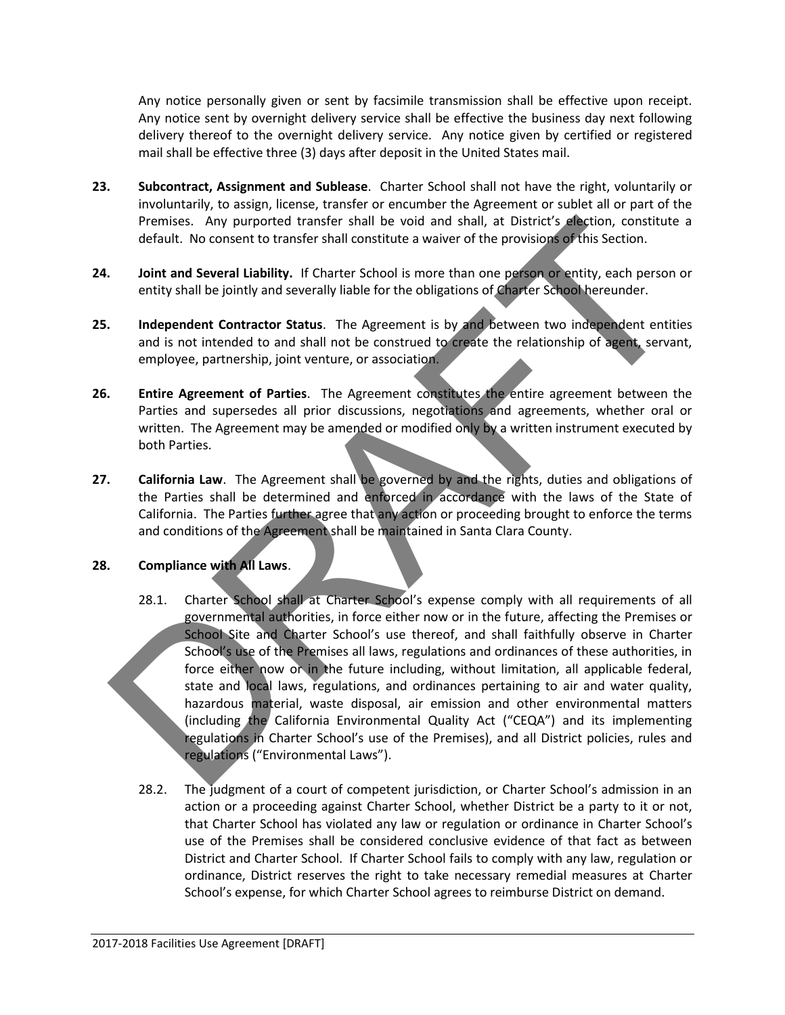Any notice personally given or sent by facsimile transmission shall be effective upon receipt. Any notice sent by overnight delivery service shall be effective the business day next following delivery thereof to the overnight delivery service. Any notice given by certified or registered mail shall be effective three (3) days after deposit in the United States mail.

- **23. Subcontract, Assignment and Sublease**. Charter School shall not have the right, voluntarily or involuntarily, to assign, license, transfer or encumber the Agreement or sublet all or part of the Premises. Any purported transfer shall be void and shall, at District's election, constitute a default. No consent to transfer shall constitute a waiver of the provisions of this Section.
- **24. Joint and Several Liability.** If Charter School is more than one person or entity, each person or entity shall be jointly and severally liable for the obligations of Charter School hereunder.
- **25. Independent Contractor Status**. The Agreement is by and between two independent entities and is not intended to and shall not be construed to create the relationship of agent, servant, employee, partnership, joint venture, or association.
- **26. Entire Agreement of Parties**. The Agreement constitutes the entire agreement between the Parties and supersedes all prior discussions, negotiations and agreements, whether oral or written. The Agreement may be amended or modified only by a written instrument executed by both Parties.
- **27. California Law**. The Agreement shall be governed by and the rights, duties and obligations of the Parties shall be determined and enforced in accordance with the laws of the State of California. The Parties further agree that any action or proceeding brought to enforce the terms and conditions of the Agreement shall be maintained in Santa Clara County.

### **28. Compliance with All Laws**.

- Permiss. Any purported transfer shall do void and shall, at District's decision, constitute a<br>default. No consent to transfer shall constitute a waver of the provisions of his Section.<br>
Joint and Several Liability, if Char 28.1. Charter School shall at Charter School's expense comply with all requirements of all governmental authorities, in force either now or in the future, affecting the Premises or School Site and Charter School's use thereof, and shall faithfully observe in Charter School's use of the Premises all laws, regulations and ordinances of these authorities, in force either now or in the future including, without limitation, all applicable federal, state and local laws, regulations, and ordinances pertaining to air and water quality, hazardous material, waste disposal, air emission and other environmental matters (including the California Environmental Quality Act ("CEQA") and its implementing regulations in Charter School's use of the Premises), and all District policies, rules and regulations ("Environmental Laws").
	- 28.2. The judgment of a court of competent jurisdiction, or Charter School's admission in an action or a proceeding against Charter School, whether District be a party to it or not, that Charter School has violated any law or regulation or ordinance in Charter School's use of the Premises shall be considered conclusive evidence of that fact as between District and Charter School. If Charter School fails to comply with any law, regulation or ordinance, District reserves the right to take necessary remedial measures at Charter School's expense, for which Charter School agrees to reimburse District on demand.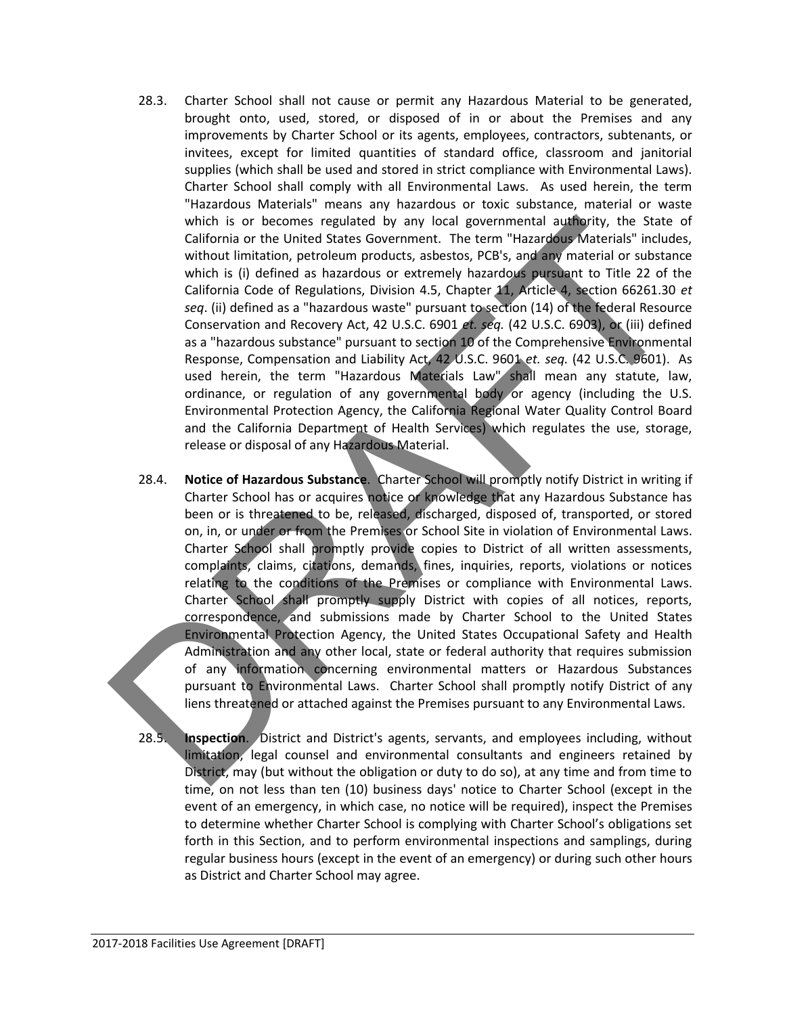- 28.3. Charter School shall not cause or permit any Hazardous Material to be generated, brought onto, used, stored, or disposed of in or about the Premises and any improvements by Charter School or its agents, employees, contractors, subtenants, or invitees, except for limited quantities of standard office, classroom and janitorial supplies (which shall be used and stored in strict compliance with Environmental Laws). Charter School shall comply with all Environmental Laws. As used herein, the term "Hazardous Materials" means any hazardous or toxic substance, material or waste which is or becomes regulated by any local governmental authority, the State of California or the United States Government. The term "Hazardous Materials" includes, without limitation, petroleum products, asbestos, PCB's, and any material or substance which is (i) defined as hazardous or extremely hazardous pursuant to Title 22 of the California Code of Regulations, Division 4.5, Chapter 11, Article 4, section 66261.30 *et seq*. (ii) defined as a "hazardous waste" pursuant to section (14) of the federal Resource Conservation and Recovery Act, 42 U.S.C. 6901 *et. seq.* (42 U.S.C. 6903), or (iii) defined as a "hazardous substance" pursuant to section 10 of the Comprehensive Environmental Response, Compensation and Liability Act, 42 U.S.C. 9601 *et. seq.* (42 U.S.C. 9601). As used herein, the term "Hazardous Materials Law" shall mean any statute, law, ordinance, or regulation of any governmental body or agency (including the U.S. Environmental Protection Agency, the California Regional Water Quality Control Board and the California Department of Health Services) which regulates the use, storage, release or disposal of any Hazardous Material.
- which is or becomes regulated by any local governmental and by any computer call formin or the United States Government. The term "Hazardog Materials" includes,<br>which is (ii) defined as hazardog or extremely hazardog wheat 28.4. **Notice of Hazardous Substance**. Charter School will promptly notify District in writing if Charter School has or acquires notice or knowledge that any Hazardous Substance has been or is threatened to be, released, discharged, disposed of, transported, or stored on, in, or under or from the Premises or School Site in violation of Environmental Laws. Charter School shall promptly provide copies to District of all written assessments, complaints, claims, citations, demands, fines, inquiries, reports, violations or notices relating to the conditions of the Premises or compliance with Environmental Laws. Charter School shall promptly supply District with copies of all notices, reports, correspondence, and submissions made by Charter School to the United States Environmental Protection Agency, the United States Occupational Safety and Health Administration and any other local, state or federal authority that requires submission of any information concerning environmental matters or Hazardous Substances pursuant to Environmental Laws. Charter School shall promptly notify District of any liens threatened or attached against the Premises pursuant to any Environmental Laws.
	- 28.5. **Inspection**. District and District's agents, servants, and employees including, without limitation, legal counsel and environmental consultants and engineers retained by District, may (but without the obligation or duty to do so), at any time and from time to time, on not less than ten (10) business days' notice to Charter School (except in the event of an emergency, in which case, no notice will be required), inspect the Premises to determine whether Charter School is complying with Charter School's obligations set forth in this Section, and to perform environmental inspections and samplings, during regular business hours (except in the event of an emergency) or during such other hours as District and Charter School may agree.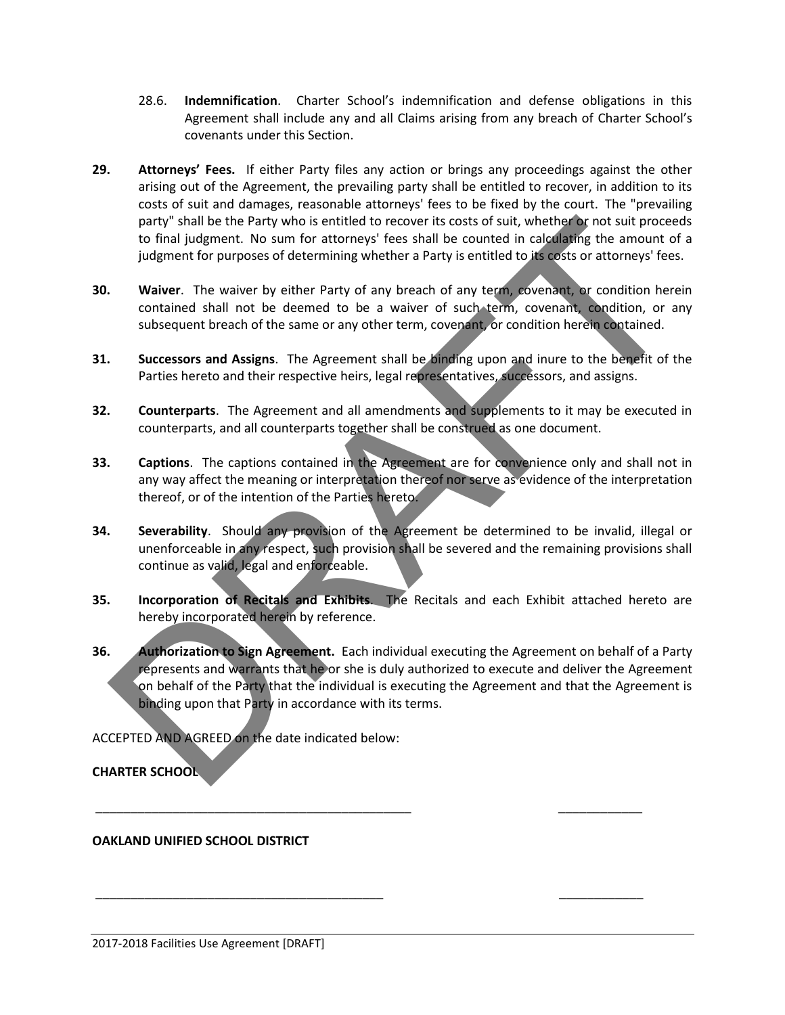- 28.6. **Indemnification**. Charter School's indemnification and defense obligations in this Agreement shall include any and all Claims arising from any breach of Charter School's covenants under this Section.
- **29. Attorneys' Fees.** If either Party files any action or brings any proceedings against the other arising out of the Agreement, the prevailing party shall be entitled to recover, in addition to its costs of suit and damages, reasonable attorneys' fees to be fixed by the court. The "prevailing party" shall be the Party who is entitled to recover its costs of suit, whether or not suit proceeds to final judgment. No sum for attorneys' fees shall be counted in calculating the amount of a judgment for purposes of determining whether a Party is entitled to its costs or attorneys' fees.
- **30. Waiver**. The waiver by either Party of any breach of any term, covenant, or condition herein contained shall not be deemed to be a waiver of such term, covenant, condition, or any subsequent breach of the same or any other term, covenant, or condition herein contained.
- **31. Successors and Assigns**. The Agreement shall be binding upon and inure to the benefit of the Parties hereto and their respective heirs, legal representatives, successors, and assigns.
- **32. Counterparts**. The Agreement and all amendments and supplements to it may be executed in counterparts, and all counterparts together shall be construed as one document.
- **33. Captions**. The captions contained in the Agreement are for convenience only and shall not in any way affect the meaning or interpretation thereof nor serve as evidence of the interpretation thereof, or of the intention of the Parties hereto.
- **34. Severability**. Should any provision of the Agreement be determined to be invalid, illegal or unenforceable in any respect, such provision shall be severed and the remaining provisions shall continue as valid, legal and enforceable.
- **35. Incorporation of Recitals and Exhibits**. The Recitals and each Exhibit attached hereto are hereby incorporated herein by reference.
- party "shall be the Party who is entitled to recover is costs of sull, whether br not sull properties that the Party and the Party is entitled to the counterpart of pulgament for purposes of determining whether a Party is **36. Authorization to Sign Agreement.** Each individual executing the Agreement on behalf of a Party represents and warrants that he or she is duly authorized to execute and deliver the Agreement on behalf of the Party that the individual is executing the Agreement and that the Agreement is binding upon that Party in accordance with its terms.

\_\_\_\_\_\_\_\_\_\_\_\_\_\_\_\_\_\_\_\_\_\_\_\_\_\_\_\_\_\_\_\_\_\_\_\_\_\_\_\_\_\_\_\_\_ \_\_\_\_\_\_\_\_\_\_\_\_

\_\_\_\_\_\_\_\_\_\_\_\_\_\_\_\_\_\_\_\_\_\_\_\_\_\_\_\_\_\_\_\_\_\_\_\_\_\_\_\_\_ \_\_\_\_\_\_\_\_\_\_\_\_

ACCEPTED AND AGREED on the date indicated below:

**CHARTER SCHOOL** 

# **OAKLAND UNIFIED SCHOOL DISTRICT**